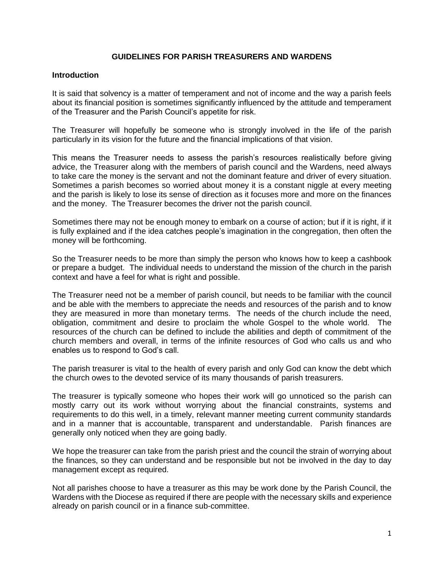### **GUIDELINES FOR PARISH TREASURERS AND WARDENS**

#### **Introduction**

It is said that solvency is a matter of temperament and not of income and the way a parish feels about its financial position is sometimes significantly influenced by the attitude and temperament of the Treasurer and the Parish Council's appetite for risk.

The Treasurer will hopefully be someone who is strongly involved in the life of the parish particularly in its vision for the future and the financial implications of that vision.

This means the Treasurer needs to assess the parish's resources realistically before giving advice, the Treasurer along with the members of parish council and the Wardens, need always to take care the money is the servant and not the dominant feature and driver of every situation. Sometimes a parish becomes so worried about money it is a constant niggle at every meeting and the parish is likely to lose its sense of direction as it focuses more and more on the finances and the money. The Treasurer becomes the driver not the parish council.

Sometimes there may not be enough money to embark on a course of action; but if it is right, if it is fully explained and if the idea catches people's imagination in the congregation, then often the money will be forthcoming.

So the Treasurer needs to be more than simply the person who knows how to keep a cashbook or prepare a budget. The individual needs to understand the mission of the church in the parish context and have a feel for what is right and possible.

The Treasurer need not be a member of parish council, but needs to be familiar with the council and be able with the members to appreciate the needs and resources of the parish and to know they are measured in more than monetary terms. The needs of the church include the need, obligation, commitment and desire to proclaim the whole Gospel to the whole world. The resources of the church can be defined to include the abilities and depth of commitment of the church members and overall, in terms of the infinite resources of God who calls us and who enables us to respond to God's call.

The parish treasurer is vital to the health of every parish and only God can know the debt which the church owes to the devoted service of its many thousands of parish treasurers.

The treasurer is typically someone who hopes their work will go unnoticed so the parish can mostly carry out its work without worrying about the financial constraints, systems and requirements to do this well, in a timely, relevant manner meeting current community standards and in a manner that is accountable, transparent and understandable. Parish finances are generally only noticed when they are going badly.

We hope the treasurer can take from the parish priest and the council the strain of worrying about the finances, so they can understand and be responsible but not be involved in the day to day management except as required.

Not all parishes choose to have a treasurer as this may be work done by the Parish Council, the Wardens with the Diocese as required if there are people with the necessary skills and experience already on parish council or in a finance sub-committee.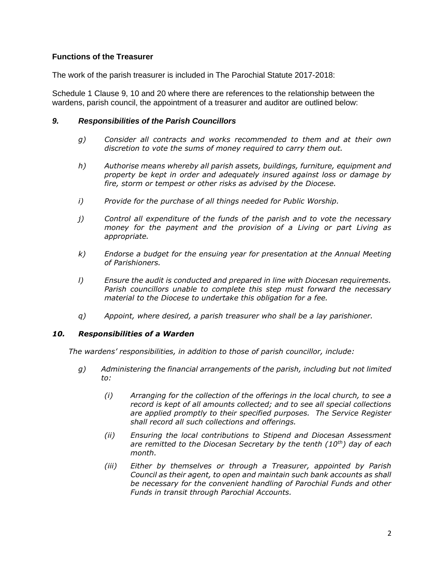# **Functions of the Treasurer**

The work of the parish treasurer is included in The Parochial Statute 2017-2018:

Schedule 1 Clause 9, 10 and 20 where there are references to the relationship between the wardens, parish council, the appointment of a treasurer and auditor are outlined below:

#### *9. Responsibilities of the Parish Councillors*

- *g) Consider all contracts and works recommended to them and at their own discretion to vote the sums of money required to carry them out.*
- *h) Authorise means whereby all parish assets, buildings, furniture, equipment and property be kept in order and adequately insured against loss or damage by fire, storm or tempest or other risks as advised by the Diocese.*
- *i) Provide for the purchase of all things needed for Public Worship.*
- *j) Control all expenditure of the funds of the parish and to vote the necessary money for the payment and the provision of a Living or part Living as appropriate.*
- *k) Endorse a budget for the ensuing year for presentation at the Annual Meeting of Parishioners.*
- *l) Ensure the audit is conducted and prepared in line with Diocesan requirements. Parish councillors unable to complete this step must forward the necessary material to the Diocese to undertake this obligation for a fee.*
- *q) Appoint, where desired, a parish treasurer who shall be a lay parishioner.*

#### *10. Responsibilities of a Warden*

*The wardens' responsibilities, in addition to those of parish councillor, include:*

- *g) Administering the financial arrangements of the parish, including but not limited to:*
	- *(i) Arranging for the collection of the offerings in the local church, to see a record is kept of all amounts collected; and to see all special collections are applied promptly to their specified purposes. The Service Register shall record all such collections and offerings.*
	- *(ii) Ensuring the local contributions to Stipend and Diocesan Assessment are remitted to the Diocesan Secretary by the tenth (10th) day of each month.*
	- *(iii) Either by themselves or through a Treasurer, appointed by Parish Council as their agent, to open and maintain such bank accounts as shall be necessary for the convenient handling of Parochial Funds and other Funds in transit through Parochial Accounts.*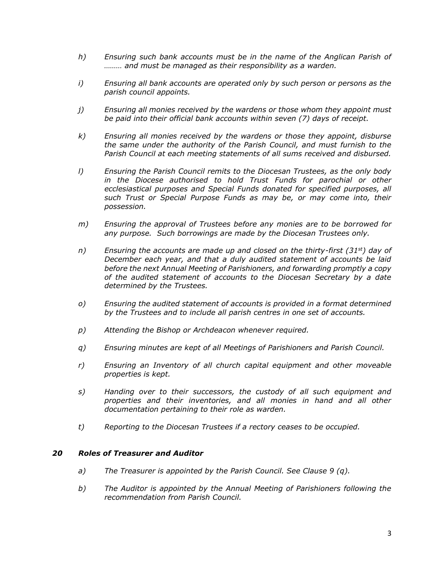- *h) Ensuring such bank accounts must be in the name of the Anglican Parish of ……… and must be managed as their responsibility as a warden.*
- *i) Ensuring all bank accounts are operated only by such person or persons as the parish council appoints.*
- *j) Ensuring all monies received by the wardens or those whom they appoint must be paid into their official bank accounts within seven (7) days of receipt.*
- *k) Ensuring all monies received by the wardens or those they appoint, disburse the same under the authority of the Parish Council, and must furnish to the Parish Council at each meeting statements of all sums received and disbursed.*
- *l) Ensuring the Parish Council remits to the Diocesan Trustees, as the only body in the Diocese authorised to hold Trust Funds for parochial or other ecclesiastical purposes and Special Funds donated for specified purposes, all such Trust or Special Purpose Funds as may be, or may come into, their possession.*
- *m) Ensuring the approval of Trustees before any monies are to be borrowed for any purpose. Such borrowings are made by the Diocesan Trustees only.*
- *n) Ensuring the accounts are made up and closed on the thirty-first (31st) day of December each year, and that a duly audited statement of accounts be laid before the next Annual Meeting of Parishioners, and forwarding promptly a copy of the audited statement of accounts to the Diocesan Secretary by a date determined by the Trustees.*
- *o) Ensuring the audited statement of accounts is provided in a format determined by the Trustees and to include all parish centres in one set of accounts.*
- *p) Attending the Bishop or Archdeacon whenever required.*
- *q) Ensuring minutes are kept of all Meetings of Parishioners and Parish Council.*
- *r) Ensuring an Inventory of all church capital equipment and other moveable properties is kept.*
- *s) Handing over to their successors, the custody of all such equipment and properties and their inventories, and all monies in hand and all other documentation pertaining to their role as warden.*
- *t) Reporting to the Diocesan Trustees if a rectory ceases to be occupied.*

#### *20 Roles of Treasurer and Auditor*

- *a) The Treasurer is appointed by the Parish Council. See Clause 9 (q).*
- *b) The Auditor is appointed by the Annual Meeting of Parishioners following the recommendation from Parish Council.*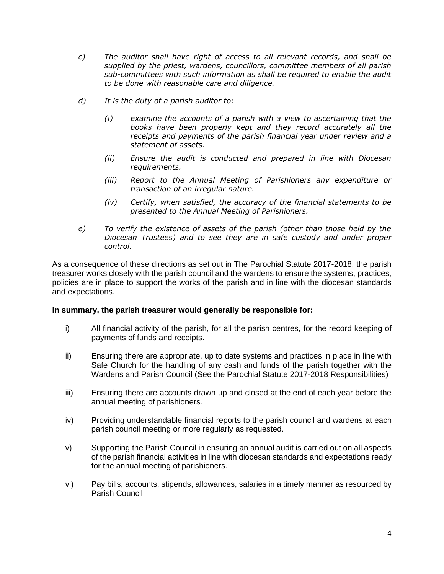- *c) The auditor shall have right of access to all relevant records, and shall be supplied by the priest, wardens, councillors, committee members of all parish sub-committees with such information as shall be required to enable the audit to be done with reasonable care and diligence.*
- *d) It is the duty of a parish auditor to:*
	- *(i) Examine the accounts of a parish with a view to ascertaining that the books have been properly kept and they record accurately all the receipts and payments of the parish financial year under review and a statement of assets.*
	- *(ii) Ensure the audit is conducted and prepared in line with Diocesan requirements.*
	- *(iii) Report to the Annual Meeting of Parishioners any expenditure or transaction of an irregular nature.*
	- *(iv) Certify, when satisfied, the accuracy of the financial statements to be presented to the Annual Meeting of Parishioners.*
- *e) To verify the existence of assets of the parish (other than those held by the Diocesan Trustees) and to see they are in safe custody and under proper control.*

As a consequence of these directions as set out in The Parochial Statute 2017-2018, the parish treasurer works closely with the parish council and the wardens to ensure the systems, practices, policies are in place to support the works of the parish and in line with the diocesan standards and expectations.

#### **In summary, the parish treasurer would generally be responsible for:**

- i) All financial activity of the parish, for all the parish centres, for the record keeping of payments of funds and receipts.
- ii) Ensuring there are appropriate, up to date systems and practices in place in line with Safe Church for the handling of any cash and funds of the parish together with the Wardens and Parish Council (See the Parochial Statute 2017-2018 Responsibilities)
- iii) Ensuring there are accounts drawn up and closed at the end of each year before the annual meeting of parishioners.
- iv) Providing understandable financial reports to the parish council and wardens at each parish council meeting or more regularly as requested.
- v) Supporting the Parish Council in ensuring an annual audit is carried out on all aspects of the parish financial activities in line with diocesan standards and expectations ready for the annual meeting of parishioners.
- vi) Pay bills, accounts, stipends, allowances, salaries in a timely manner as resourced by Parish Council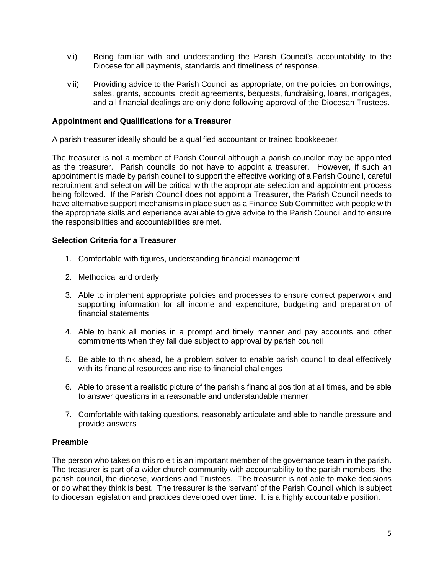- vii) Being familiar with and understanding the Parish Council's accountability to the Diocese for all payments, standards and timeliness of response.
- viii) Providing advice to the Parish Council as appropriate, on the policies on borrowings, sales, grants, accounts, credit agreements, bequests, fundraising, loans, mortgages, and all financial dealings are only done following approval of the Diocesan Trustees.

### **Appointment and Qualifications for a Treasurer**

A parish treasurer ideally should be a qualified accountant or trained bookkeeper.

The treasurer is not a member of Parish Council although a parish councilor may be appointed as the treasurer. Parish councils do not have to appoint a treasurer. However, if such an appointment is made by parish council to support the effective working of a Parish Council, careful recruitment and selection will be critical with the appropriate selection and appointment process being followed. If the Parish Council does not appoint a Treasurer, the Parish Council needs to have alternative support mechanisms in place such as a Finance Sub Committee with people with the appropriate skills and experience available to give advice to the Parish Council and to ensure the responsibilities and accountabilities are met.

### **Selection Criteria for a Treasurer**

- 1. Comfortable with figures, understanding financial management
- 2. Methodical and orderly
- 3. Able to implement appropriate policies and processes to ensure correct paperwork and supporting information for all income and expenditure, budgeting and preparation of financial statements
- 4. Able to bank all monies in a prompt and timely manner and pay accounts and other commitments when they fall due subject to approval by parish council
- 5. Be able to think ahead, be a problem solver to enable parish council to deal effectively with its financial resources and rise to financial challenges
- 6. Able to present a realistic picture of the parish's financial position at all times, and be able to answer questions in a reasonable and understandable manner
- 7. Comfortable with taking questions, reasonably articulate and able to handle pressure and provide answers

### **Preamble**

The person who takes on this role t is an important member of the governance team in the parish. The treasurer is part of a wider church community with accountability to the parish members, the parish council, the diocese, wardens and Trustees. The treasurer is not able to make decisions or do what they think is best. The treasurer is the 'servant' of the Parish Council which is subject to diocesan legislation and practices developed over time. It is a highly accountable position.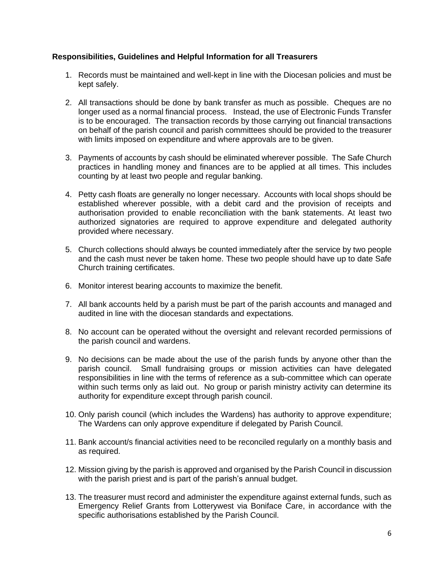### **Responsibilities, Guidelines and Helpful Information for all Treasurers**

- 1. Records must be maintained and well-kept in line with the Diocesan policies and must be kept safely.
- 2. All transactions should be done by bank transfer as much as possible. Cheques are no longer used as a normal financial process. Instead, the use of Electronic Funds Transfer is to be encouraged. The transaction records by those carrying out financial transactions on behalf of the parish council and parish committees should be provided to the treasurer with limits imposed on expenditure and where approvals are to be given.
- 3. Payments of accounts by cash should be eliminated wherever possible. The Safe Church practices in handling money and finances are to be applied at all times. This includes counting by at least two people and regular banking.
- 4. Petty cash floats are generally no longer necessary. Accounts with local shops should be established wherever possible, with a debit card and the provision of receipts and authorisation provided to enable reconciliation with the bank statements. At least two authorized signatories are required to approve expenditure and delegated authority provided where necessary.
- 5. Church collections should always be counted immediately after the service by two people and the cash must never be taken home. These two people should have up to date Safe Church training certificates.
- 6. Monitor interest bearing accounts to maximize the benefit.
- 7. All bank accounts held by a parish must be part of the parish accounts and managed and audited in line with the diocesan standards and expectations.
- 8. No account can be operated without the oversight and relevant recorded permissions of the parish council and wardens.
- 9. No decisions can be made about the use of the parish funds by anyone other than the parish council. Small fundraising groups or mission activities can have delegated responsibilities in line with the terms of reference as a sub-committee which can operate within such terms only as laid out. No group or parish ministry activity can determine its authority for expenditure except through parish council.
- 10. Only parish council (which includes the Wardens) has authority to approve expenditure; The Wardens can only approve expenditure if delegated by Parish Council.
- 11. Bank account/s financial activities need to be reconciled regularly on a monthly basis and as required.
- 12. Mission giving by the parish is approved and organised by the Parish Council in discussion with the parish priest and is part of the parish's annual budget.
- 13. The treasurer must record and administer the expenditure against external funds, such as Emergency Relief Grants from Lotterywest via Boniface Care, in accordance with the specific authorisations established by the Parish Council.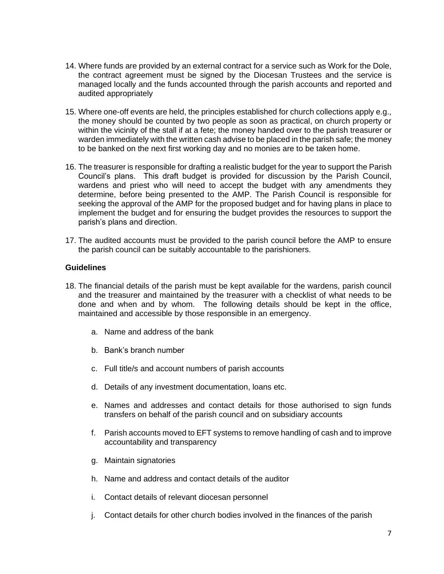- 14. Where funds are provided by an external contract for a service such as Work for the Dole, the contract agreement must be signed by the Diocesan Trustees and the service is managed locally and the funds accounted through the parish accounts and reported and audited appropriately
- 15. Where one-off events are held, the principles established for church collections apply e.g., the money should be counted by two people as soon as practical, on church property or within the vicinity of the stall if at a fete; the money handed over to the parish treasurer or warden immediately with the written cash advise to be placed in the parish safe; the money to be banked on the next first working day and no monies are to be taken home.
- 16. The treasurer is responsible for drafting a realistic budget for the year to support the Parish Council's plans. This draft budget is provided for discussion by the Parish Council, wardens and priest who will need to accept the budget with any amendments they determine, before being presented to the AMP. The Parish Council is responsible for seeking the approval of the AMP for the proposed budget and for having plans in place to implement the budget and for ensuring the budget provides the resources to support the parish's plans and direction.
- 17. The audited accounts must be provided to the parish council before the AMP to ensure the parish council can be suitably accountable to the parishioners.

#### **Guidelines**

- 18. The financial details of the parish must be kept available for the wardens, parish council and the treasurer and maintained by the treasurer with a checklist of what needs to be done and when and by whom. The following details should be kept in the office, maintained and accessible by those responsible in an emergency.
	- a. Name and address of the bank
	- b. Bank's branch number
	- c. Full title/s and account numbers of parish accounts
	- d. Details of any investment documentation, loans etc.
	- e. Names and addresses and contact details for those authorised to sign funds transfers on behalf of the parish council and on subsidiary accounts
	- f. Parish accounts moved to EFT systems to remove handling of cash and to improve accountability and transparency
	- g. Maintain signatories
	- h. Name and address and contact details of the auditor
	- i. Contact details of relevant diocesan personnel
	- j. Contact details for other church bodies involved in the finances of the parish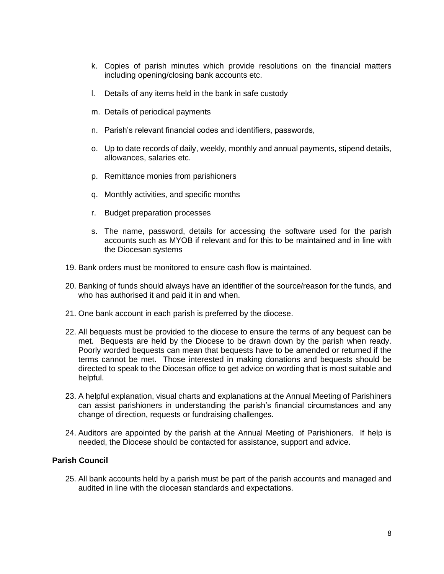- k. Copies of parish minutes which provide resolutions on the financial matters including opening/closing bank accounts etc.
- l. Details of any items held in the bank in safe custody
- m. Details of periodical payments
- n. Parish's relevant financial codes and identifiers, passwords,
- o. Up to date records of daily, weekly, monthly and annual payments, stipend details, allowances, salaries etc.
- p. Remittance monies from parishioners
- q. Monthly activities, and specific months
- r. Budget preparation processes
- s. The name, password, details for accessing the software used for the parish accounts such as MYOB if relevant and for this to be maintained and in line with the Diocesan systems
- 19. Bank orders must be monitored to ensure cash flow is maintained.
- 20. Banking of funds should always have an identifier of the source/reason for the funds, and who has authorised it and paid it in and when.
- 21. One bank account in each parish is preferred by the diocese.
- 22. All bequests must be provided to the diocese to ensure the terms of any bequest can be met. Bequests are held by the Diocese to be drawn down by the parish when ready. Poorly worded bequests can mean that bequests have to be amended or returned if the terms cannot be met. Those interested in making donations and bequests should be directed to speak to the Diocesan office to get advice on wording that is most suitable and helpful.
- 23. A helpful explanation, visual charts and explanations at the Annual Meeting of Parishiners can assist parishioners in understanding the parish's financial circumstances and any change of direction, requests or fundraising challenges.
- 24. Auditors are appointed by the parish at the Annual Meeting of Parishioners. If help is needed, the Diocese should be contacted for assistance, support and advice.

# **Parish Council**

25. All bank accounts held by a parish must be part of the parish accounts and managed and audited in line with the diocesan standards and expectations.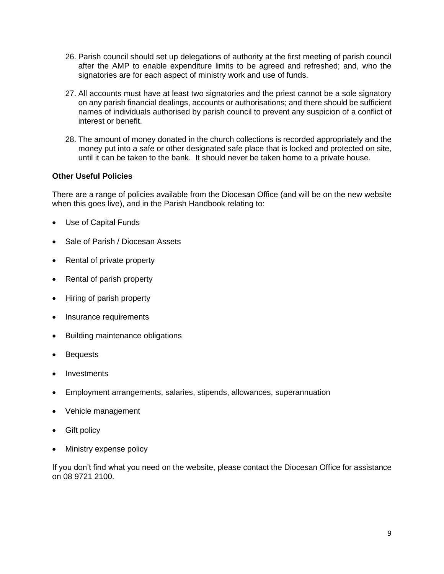- 26. Parish council should set up delegations of authority at the first meeting of parish council after the AMP to enable expenditure limits to be agreed and refreshed; and, who the signatories are for each aspect of ministry work and use of funds.
- 27. All accounts must have at least two signatories and the priest cannot be a sole signatory on any parish financial dealings, accounts or authorisations; and there should be sufficient names of individuals authorised by parish council to prevent any suspicion of a conflict of interest or benefit.
- 28. The amount of money donated in the church collections is recorded appropriately and the money put into a safe or other designated safe place that is locked and protected on site, until it can be taken to the bank. It should never be taken home to a private house.

# **Other Useful Policies**

There are a range of policies available from the Diocesan Office (and will be on the new website when this goes live), and in the Parish Handbook relating to:

- Use of Capital Funds
- Sale of Parish / Diocesan Assets
- Rental of private property
- Rental of parish property
- Hiring of parish property
- Insurance requirements
- Building maintenance obligations
- **Bequests**
- Investments
- Employment arrangements, salaries, stipends, allowances, superannuation
- Vehicle management
- **Gift policy**
- Ministry expense policy

If you don't find what you need on the website, please contact the Diocesan Office for assistance on 08 9721 2100.